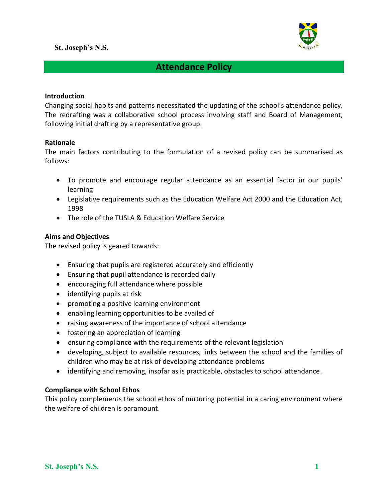

# **Attendance Policy**

#### **Introduction**

Changing social habits and patterns necessitated the updating of the school's attendance policy. The redrafting was a collaborative school process involving staff and Board of Management, following initial drafting by a representative group.

#### **Rationale**

The main factors contributing to the formulation of a revised policy can be summarised as follows:

- To promote and encourage regular attendance as an essential factor in our pupils' learning
- Legislative requirements such as the Education Welfare Act 2000 and the Education Act, 1998
- The role of the TUSLA & Education Welfare Service

#### **Aims and Objectives**

The revised policy is geared towards:

- Ensuring that pupils are registered accurately and efficiently
- Ensuring that pupil attendance is recorded daily
- encouraging full attendance where possible
- identifying pupils at risk
- promoting a positive learning environment
- enabling learning opportunities to be availed of
- raising awareness of the importance of school attendance
- fostering an appreciation of learning
- ensuring compliance with the requirements of the relevant legislation
- developing, subject to available resources, links between the school and the families of children who may be at risk of developing attendance problems
- identifying and removing, insofar as is practicable, obstacles to school attendance.

#### **Compliance with School Ethos**

This policy complements the school ethos of nurturing potential in a caring environment where the welfare of children is paramount.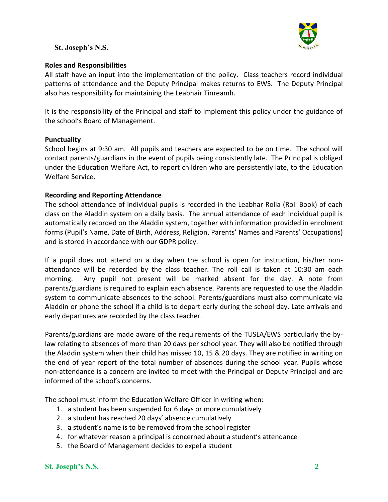

#### **Roles and Responsibilities**

All staff have an input into the implementation of the policy. Class teachers record individual patterns of attendance and the Deputy Principal makes returns to EWS. The Deputy Principal also has responsibility for maintaining the Leabhair Tinreamh.

It is the responsibility of the Principal and staff to implement this policy under the guidance of the school's Board of Management.

# **Punctuality**

School begins at 9:30 am. All pupils and teachers are expected to be on time. The school will contact parents/guardians in the event of pupils being consistently late. The Principal is obliged under the Education Welfare Act, to report children who are persistently late, to the Education Welfare Service.

#### **Recording and Reporting Attendance**

The school attendance of individual pupils is recorded in the Leabhar Rolla (Roll Book) of each class on the Aladdin system on a daily basis. The annual attendance of each individual pupil is automatically recorded on the Aladdin system, together with information provided in enrolment forms (Pupil's Name, Date of Birth, Address, Religion, Parents' Names and Parents' Occupations) and is stored in accordance with our GDPR policy.

If a pupil does not attend on a day when the school is open for instruction, his/her nonattendance will be recorded by the class teacher. The roll call is taken at 10:30 am each morning. Any pupil not present will be marked absent for the day. A note from parents/guardians is required to explain each absence. Parents are requested to use the Aladdin system to communicate absences to the school. Parents/guardians must also communicate via Aladdin or phone the school if a child is to depart early during the school day. Late arrivals and early departures are recorded by the class teacher.

Parents/guardians are made aware of the requirements of the TUSLA/EWS particularly the bylaw relating to absences of more than 20 days per school year. They will also be notified through the Aladdin system when their child has missed 10, 15 & 20 days. They are notified in writing on the end of year report of the total number of absences during the school year. Pupils whose non-attendance is a concern are invited to meet with the Principal or Deputy Principal and are informed of the school's concerns.

The school must inform the Education Welfare Officer in writing when:

- 1. a student has been suspended for 6 days or more cumulatively
- 2. a student has reached 20 days' absence cumulatively
- 3. a student's name is to be removed from the school register
- 4. for whatever reason a principal is concerned about a student's attendance
- 5. the Board of Management decides to expel a student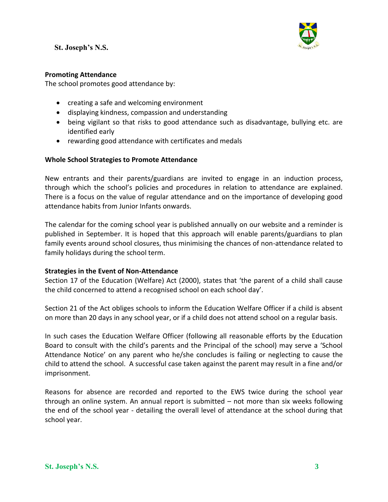

# **Promoting Attendance**

The school promotes good attendance by:

- creating a safe and welcoming environment
- displaying kindness, compassion and understanding
- being vigilant so that risks to good attendance such as disadvantage, bullying etc. are identified early
- rewarding good attendance with certificates and medals

#### **Whole School Strategies to Promote Attendance**

New entrants and their parents/guardians are invited to engage in an induction process, through which the school's policies and procedures in relation to attendance are explained. There is a focus on the value of regular attendance and on the importance of developing good attendance habits from Junior Infants onwards.

The calendar for the coming school year is published annually on our website and a reminder is published in September. It is hoped that this approach will enable parents/guardians to plan family events around school closures, thus minimising the chances of non-attendance related to family holidays during the school term.

# **Strategies in the Event of Non-Attendance**

Section 17 of the Education (Welfare) Act (2000), states that 'the parent of a child shall cause the child concerned to attend a recognised school on each school day'.

Section 21 of the Act obliges schools to inform the Education Welfare Officer if a child is absent on more than 20 days in any school year, or if a child does not attend school on a regular basis.

In such cases the Education Welfare Officer (following all reasonable efforts by the Education Board to consult with the child's parents and the Principal of the school) may serve a 'School Attendance Notice' on any parent who he/she concludes is failing or neglecting to cause the child to attend the school. A successful case taken against the parent may result in a fine and/or imprisonment.

Reasons for absence are recorded and reported to the EWS twice during the school year through an online system. An annual report is submitted – not more than six weeks following the end of the school year - detailing the overall level of attendance at the school during that school year.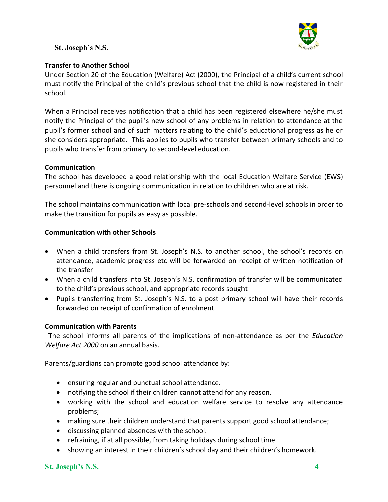

#### **Transfer to Another School**

Under Section 20 of the Education (Welfare) Act (2000), the Principal of a child's current school must notify the Principal of the child's previous school that the child is now registered in their school.

When a Principal receives notification that a child has been registered elsewhere he/she must notify the Principal of the pupil's new school of any problems in relation to attendance at the pupil's former school and of such matters relating to the child's educational progress as he or she considers appropriate. This applies to pupils who transfer between primary schools and to pupils who transfer from primary to second-level education.

#### **Communication**

The school has developed a good relationship with the local Education Welfare Service (EWS) personnel and there is ongoing communication in relation to children who are at risk.

The school maintains communication with local pre-schools and second-level schools in order to make the transition for pupils as easy as possible.

#### **Communication with other Schools**

- When a child transfers from St. Joseph's N.S. to another school, the school's records on attendance, academic progress etc will be forwarded on receipt of written notification of the transfer
- When a child transfers into St. Joseph's N.S. confirmation of transfer will be communicated to the child's previous school, and appropriate records sought
- Pupils transferring from St. Joseph's N.S. to a post primary school will have their records forwarded on receipt of confirmation of enrolment.

#### **Communication with Parents**

 The school informs all parents of the implications of non-attendance as per the *Education Welfare Act 2000* on an annual basis.

Parents/guardians can promote good school attendance by:

- ensuring regular and punctual school attendance.
- notifying the school if their children cannot attend for any reason.
- working with the school and education welfare service to resolve any attendance problems;
- making sure their children understand that parents support good school attendance;
- discussing planned absences with the school.
- refraining, if at all possible, from taking holidays during school time
- showing an interest in their children's school day and their children's homework.

# **St. Joseph's N.S. 4**